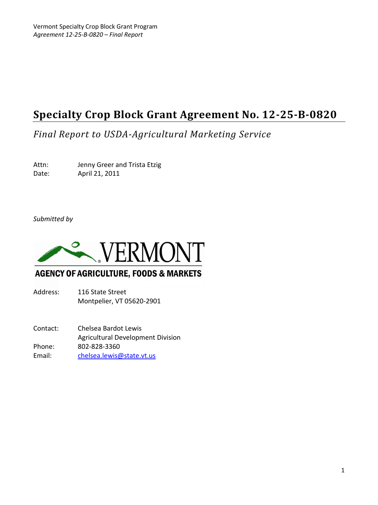# **Specialty Crop Block Grant Agreement No. 12-25-B-0820**

*Final Report to USDA-Agricultural Marketing Service*

Attn: Jenny Greer and Trista Etzig Date: April 21, 2011

*Submitted by*



## **AGENCY OF AGRICULTURE, FOODS & MARKETS**

Address: 116 State Street Montpelier, VT 05620-2901

Contact: Chelsea Bardot Lewis Agricultural Development Division Phone: 802-828-3360 Email: [chelsea.lewis@state.vt.us](mailto:chelsea.lewis@state.vt.us)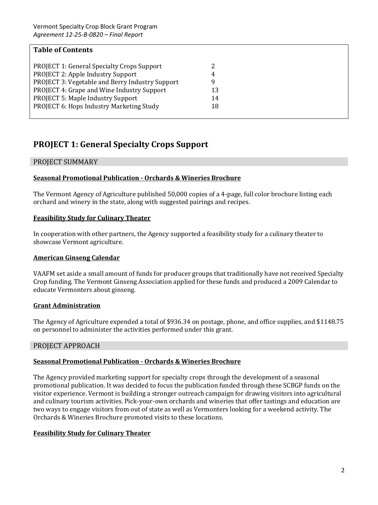| <b>Table of Contents</b>                          |    |  |
|---------------------------------------------------|----|--|
| <b>PROJECT 1: General Specialty Crops Support</b> |    |  |
| PROJECT 2: Apple Industry Support                 | 4  |  |
| PROJECT 3: Vegetable and Berry Industry Support   | g  |  |
| PROJECT 4: Grape and Wine Industry Support        | 13 |  |
| PROJECT 5: Maple Industry Support                 | 14 |  |
| PROJECT 6: Hops Industry Marketing Study          | 18 |  |
|                                                   |    |  |

## **PROJECT 1: General Specialty Crops Support**

## PROJECT SUMMARY

## **Seasonal Promotional Publication - Orchards & Wineries Brochure**

The Vermont Agency of Agriculture published 50,000 copies of a 4-page, full color brochure listing each orchard and winery in the state, along with suggested pairings and recipes.

## **Feasibility Study for Culinary Theater**

In cooperation with other partners, the Agency supported a feasibility study for a culinary theater to showcase Vermont agriculture.

## **American Ginseng Calendar**

VAAFM set aside a small amount of funds for producer groups that traditionally have not received Specialty Crop funding. The Vermont Ginseng Association applied for these funds and produced a 2009 Calendar to educate Vermonters about ginseng.

## **Grant Administration**

The Agency of Agriculture expended a total of \$936.34 on postage, phone, and office supplies, and \$1148.75 on personnel to administer the activities performed under this grant.

## PROJECT APPROACH

## **Seasonal Promotional Publication - Orchards & Wineries Brochure**

The Agency provided marketing support for specialty crops through the development of a seasonal promotional publication. It was decided to focus the publication funded through these SCBGP funds on the visitor experience. Vermont is building a stronger outreach campaign for drawing visitors into agricultural and culinary tourism activities. Pick-your-own orchards and wineries that offer tastings and education are two ways to engage visitors from out of state as well as Vermonters looking for a weekend activity. The Orchards & Wineries Brochure promoted visits to these locations.

## **Feasibility Study for Culinary Theater**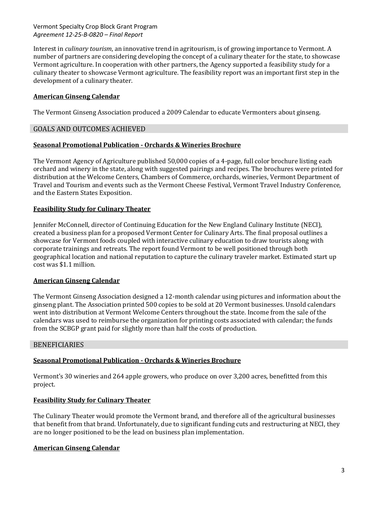Interest in *culinary tourism*, an innovative trend in agritourism, is of growing importance to Vermont. A number of partners are considering developing the concept of a culinary theater for the state, to showcase Vermont agriculture. In cooperation with other partners, the Agency supported a feasibility study for a culinary theater to showcase Vermont agriculture. The feasibility report was an important first step in the development of a culinary theater.

## **American Ginseng Calendar**

The Vermont Ginseng Association produced a 2009 Calendar to educate Vermonters about ginseng.

#### GOALS AND OUTCOMES ACHIEVED

#### **Seasonal Promotional Publication - Orchards & Wineries Brochure**

The Vermont Agency of Agriculture published 50,000 copies of a 4-page, full color brochure listing each orchard and winery in the state, along with suggested pairings and recipes. The brochures were printed for distribution at the Welcome Centers, Chambers of Commerce, orchards, wineries, Vermont Department of Travel and Tourism and events such as the Vermont Cheese Festival, Vermont Travel Industry Conference, and the Eastern States Exposition.

#### **Feasibility Study for Culinary Theater**

Jennifer McConnell, director of Continuing Education for the New England Culinary Institute (NECI), created a business plan for a proposed Vermont Center for Culinary Arts. The final proposal outlines a showcase for Vermont foods coupled with interactive culinary education to draw tourists along with corporate trainings and retreats. The report found Vermont to be well positioned through both geographical location and national reputation to capture the culinary traveler market. Estimated start up cost was \$1.1 million.

#### **American Ginseng Calendar**

The Vermont Ginseng Association designed a 12-month calendar using pictures and information about the ginseng plant. The Association printed 500 copies to be sold at 20 Vermont businesses. Unsold calendars went into distribution at Vermont Welcome Centers throughout the state. Income from the sale of the calendars was used to reimburse the organization for printing costs associated with calendar; the funds from the SCBGP grant paid for slightly more than half the costs of production.

#### BENEFICIARIES

## **Seasonal Promotional Publication - Orchards & Wineries Brochure**

Vermont's 30 wineries and 264 apple growers, who produce on over 3,200 acres, benefitted from this project.

#### **Feasibility Study for Culinary Theater**

The Culinary Theater would promote the Vermont brand, and therefore all of the agricultural businesses that benefit from that brand. Unfortunately, due to significant funding cuts and restructuring at NECI, they are no longer positioned to be the lead on business plan implementation.

#### **American Ginseng Calendar**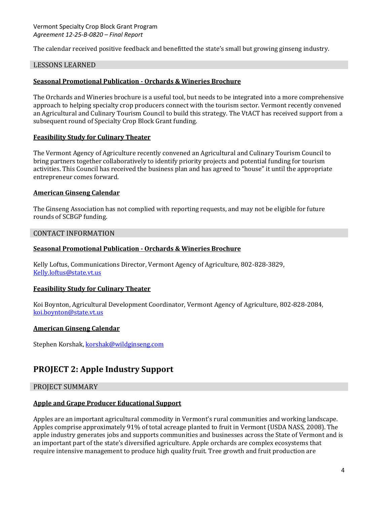The calendar received positive feedback and benefitted the state's small but growing ginseng industry.

### LESSONS LEARNED

### **Seasonal Promotional Publication - Orchards & Wineries Brochure**

The Orchards and Wineries brochure is a useful tool, but needs to be integrated into a more comprehensive approach to helping specialty crop producers connect with the tourism sector. Vermont recently convened an Agricultural and Culinary Tourism Council to build this strategy. The VtACT has received support from a subsequent round of Specialty Crop Block Grant funding.

#### **Feasibility Study for Culinary Theater**

The Vermont Agency of Agriculture recently convened an Agricultural and Culinary Tourism Council to bring partners together collaboratively to identify priority projects and potential funding for tourism activities. This Council has received the business plan and has agreed to "house" it until the appropriate entrepreneur comes forward.

#### **American Ginseng Calendar**

The Ginseng Association has not complied with reporting requests, and may not be eligible for future rounds of SCBGP funding.

#### CONTACT INFORMATION

#### **Seasonal Promotional Publication - Orchards & Wineries Brochure**

Kelly Loftus, Communications Director, Vermont Agency of Agriculture, 802-828-3829, [Kelly.loftus@state.vt.us](mailto:Kelly.loftus@state.vt.us)

#### **Feasibility Study for Culinary Theater**

Koi Boynton, Agricultural Development Coordinator, Vermont Agency of Agriculture, 802-828-2084, [koi.boynton@state.vt.us](mailto:koi.boynton@state.vt.us)

#### **American Ginseng Calendar**

Stephen Korshak[, korshak@wildginseng.com](mailto:korshak@wildginseng.com)

## **PROJECT 2: Apple Industry Support**

## PROJECT SUMMARY

#### **Apple and Grape Producer Educational Support**

Apples are an important agricultural commodity in Vermont's rural communities and working landscape. Apples comprise approximately 91% of total acreage planted to fruit in Vermont (USDA NASS, 2008). The apple industry generates jobs and supports communities and businesses across the State of Vermont and is an important part of the state's diversified agriculture. Apple orchards are complex ecosystems that require intensive management to produce high quality fruit. Tree growth and fruit production are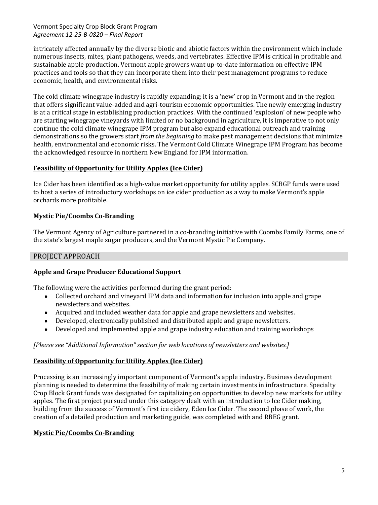intricately affected annually by the diverse biotic and abiotic factors within the environment which include numerous insects, mites, plant pathogens, weeds, and vertebrates. Effective IPM is critical in profitable and sustainable apple production. Vermont apple growers want up-to-date information on effective IPM practices and tools so that they can incorporate them into their pest management programs to reduce economic, health, and environmental risks.

The cold climate winegrape industry is rapidly expanding; it is a 'new' crop in Vermont and in the region that offers significant value-added and agri-tourism economic opportunities. The newly emerging industry is at a critical stage in establishing production practices. With the continued 'explosion' of new people who are starting winegrape vineyards with limited or no background in agriculture, it is imperative to not only continue the cold climate winegrape IPM program but also expand educational outreach and training demonstrations so the growers start *from the beginning* to make pest management decisions that minimize health, environmental and economic risks. The Vermont Cold Climate Winegrape IPM Program has become the acknowledged resource in northern New England for IPM information.

## **Feasibility of Opportunity for Utility Apples (Ice Cider)**

Ice Cider has been identified as a high-value market opportunity for utility apples. SCBGP funds were used to host a series of introductory workshops on ice cider production as a way to make Vermont's apple orchards more profitable.

## **Mystic Pie/Coombs Co-Branding**

The Vermont Agency of Agriculture partnered in a co-branding initiative with Coombs Family Farms, one of the state's largest maple sugar producers, and the Vermont Mystic Pie Company.

## PROJECT APPROACH

## **Apple and Grape Producer Educational Support**

The following were the activities performed during the grant period:

- Collected orchard and vineyard IPM data and information for inclusion into apple and grape newsletters and websites.
- Acquired and included weather data for apple and grape newsletters and websites.
- Developed, electronically published and distributed apple and grape newsletters.  $\bullet$
- Developed and implemented apple and grape industry education and training workshops

## *[Please see "Additional Information" section for web locations of newsletters and websites.]*

## **Feasibility of Opportunity for Utility Apples (Ice Cider)**

Processing is an increasingly important component of Vermont's apple industry. Business development planning is needed to determine the feasibility of making certain investments in infrastructure. Specialty Crop Block Grant funds was designated for capitalizing on opportunities to develop new markets for utility apples. The first project pursued under this category dealt with an introduction to Ice Cider making, building from the success of Vermont's first ice cidery, Eden Ice Cider. The second phase of work, the creation of a detailed production and marketing guide, was completed with and RBEG grant.

## **Mystic Pie/Coombs Co-Branding**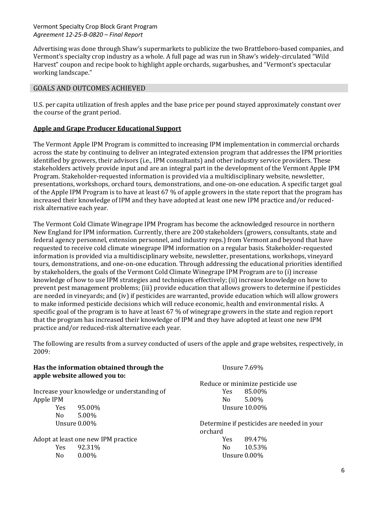Advertising was done through Shaw's supermarkets to publicize the two Brattleboro-based companies, and Vermont's specialty crop industry as a whole. A full page ad was run in Shaw's widely-circulated "Wild Harvest" coupon and recipe book to highlight apple orchards, sugarbushes, and "Vermont's spectacular working landscape."

## GOALS AND OUTCOMES ACHIEVED

U.S. per capita utilization of fresh apples and the base price per pound stayed approximately constant over the course of the grant period.

## **Apple and Grape Producer Educational Support**

The Vermont Apple IPM Program is committed to increasing IPM implementation in commercial orchards across the state by continuing to deliver an integrated extension program that addresses the IPM priorities identified by growers, their advisors (i.e., IPM consultants) and other industry service providers. These stakeholders actively provide input and are an integral part in the development of the Vermont Apple IPM Program. Stakeholder-requested information is provided via a multidisciplinary website, newsletter, presentations, workshops, orchard tours, demonstrations, and one-on-one education. A specific target goal of the Apple IPM Program is to have at least 67 % of apple growers in the state report that the program has increased their knowledge of IPM and they have adopted at least one new IPM practice and/or reducedrisk alternative each year.

The Vermont Cold Climate Winegrape IPM Program has become the acknowledged resource in northern New England for IPM information. Currently, there are 200 stakeholders (growers, consultants, state and federal agency personnel, extension personnel, and industry reps.) from Vermont and beyond that have requested to receive cold climate winegrape IPM information on a regular basis. Stakeholder-requested information is provided via a multidisciplinary website, newsletter, presentations, workshops, vineyard tours, demonstrations, and one-on-one education. Through addressing the educational priorities identified by stakeholders, the goals of the Vermont Cold Climate Winegrape IPM Program are to (i) increase knowledge of how to use IPM strategies and techniques effectively; (ii) increase knowledge on how to prevent pest management problems; (iii) provide education that allows growers to determine if pesticides are needed in vineyards; and (iv) if pesticides are warranted, provide education which will allow growers to make informed pesticide decisions which will reduce economic, health and environmental risks. A specific goal of the program is to have at least 67 % of winegrape growers in the state and region report that the program has increased their knowledge of IPM and they have adopted at least one new IPM practice and/or reduced-risk alternative each year.

The following are results from a survey conducted of users of the apple and grape websites, respectively, in 2009:

| Has the information obtained through the<br>apple website allowed you to: |          | Unsure $7.69\%$                  |        |
|---------------------------------------------------------------------------|----------|----------------------------------|--------|
|                                                                           |          | Reduce or minimize pesticide use |        |
| Increase your knowledge or understanding of                               |          | Yes.                             | 85.00% |
| Apple IPM                                                                 |          | N <sub>0</sub>                   | 5.00%  |
| <b>Yes</b>                                                                | 95.00%   | Unsure $10.00\%$                 |        |
| N <sub>0</sub>                                                            | 5.00%    |                                  |        |
| Unsure $0.00\%$<br>Determine if pesticides are needed in your<br>orchard  |          |                                  |        |
| Adopt at least one new IPM practice                                       |          | <b>Yes</b>                       | 89.47% |
| <b>Yes</b>                                                                | 92.31%   | N <sub>0</sub>                   | 10.53% |
| No.                                                                       | $0.00\%$ | Unsure $0.00\%$                  |        |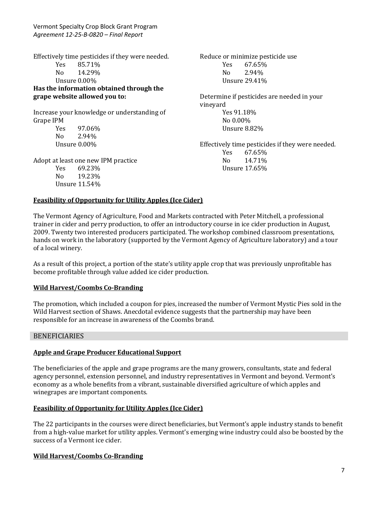Effectively time pesticides if they were needed. Yes 85.71% No 14.29% Unsure 0.00% **Has the information obtained through the grape website allowed you to:**

Increase your knowledge or understanding of Grape IPM Yes 97.06%

No 2.94% Unsure 0.00%

Unsure 11.54%

Adopt at least one new IPM practice Yes 69.23% No 19.23%

Reduce or minimize pesticide use Yes 67.65% No 2.94% Unsure 29.41%

Determine if pesticides are needed in your vineyard Yes 91.18% No 0.00% Unsure 8.82%

Effectively time pesticides if they were needed. Yes 67.65% No 14.71% Unsure 17.65%

## **Feasibility of Opportunity for Utility Apples (Ice Cider)**

The Vermont Agency of Agriculture, Food and Markets contracted with Peter Mitchell, a professional trainer in cider and perry production, to offer an introductory course in ice cider production in August, 2009. Twenty two interested producers participated. The workshop combined classroom presentations, hands on work in the laboratory (supported by the Vermont Agency of Agriculture laboratory) and a tour of a local winery.

As a result of this project, a portion of the state's utility apple crop that was previously unprofitable has become profitable through value added ice cider production.

## **Wild Harvest/Coombs Co-Branding**

The promotion, which included a coupon for pies, increased the number of Vermont Mystic Pies sold in the Wild Harvest section of Shaws. Anecdotal evidence suggests that the partnership may have been responsible for an increase in awareness of the Coombs brand.

#### BENEFICIARIES

#### **Apple and Grape Producer Educational Support**

The beneficiaries of the apple and grape programs are the many growers, consultants, state and federal agency personnel, extension personnel, and industry representatives in Vermont and beyond. Vermont's economy as a whole benefits from a vibrant, sustainable diversified agriculture of which apples and winegrapes are important components.

#### **Feasibility of Opportunity for Utility Apples (Ice Cider)**

The 22 participants in the courses were direct beneficiaries, but Vermont's apple industry stands to benefit from a high-value market for utility apples. Vermont's emerging wine industry could also be boosted by the success of a Vermont ice cider.

## **Wild Harvest/Coombs Co-Branding**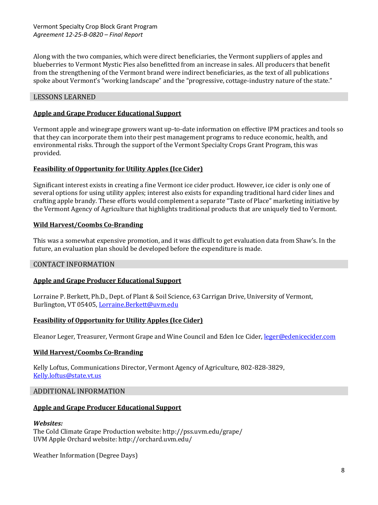Along with the two companies, which were direct beneficiaries, the Vermont suppliers of apples and blueberries to Vermont Mystic Pies also benefitted from an increase in sales. All producers that benefit from the strengthening of the Vermont brand were indirect beneficiaries, as the text of all publications spoke about Vermont's "working landscape" and the "progressive, cottage-industry nature of the state."

### LESSONS LEARNED

#### **Apple and Grape Producer Educational Support**

Vermont apple and winegrape growers want up-to-date information on effective IPM practices and tools so that they can incorporate them into their pest management programs to reduce economic, health, and environmental risks. Through the support of the Vermont Specialty Crops Grant Program, this was provided.

#### **Feasibility of Opportunity for Utility Apples (Ice Cider)**

Significant interest exists in creating a fine Vermont ice cider product. However, ice cider is only one of several options for using utility apples; interest also exists for expanding traditional hard cider lines and crafting apple brandy. These efforts would complement a separate "Taste of Place" marketing initiative by the Vermont Agency of Agriculture that highlights traditional products that are uniquely tied to Vermont.

#### **Wild Harvest/Coombs Co-Branding**

This was a somewhat expensive promotion, and it was difficult to get evaluation data from Shaw's. In the future, an evaluation plan should be developed before the expenditure is made.

#### CONTACT INFORMATION

#### **Apple and Grape Producer Educational Support**

Lorraine P. Berkett, Ph.D., Dept. of Plant & Soil Science, 63 Carrigan Drive, University of Vermont, Burlington, VT 05405, [Lorraine.Berkett@uvm.edu](mailto:Lorraine.Berkett@uvm.edu)

#### **Feasibility of Opportunity for Utility Apples (Ice Cider)**

Eleanor Leger, Treasurer, Vermont Grape and Wine Council and Eden Ice Cider[, leger@edenicecider.com](mailto:leger@edenicecider.com)

#### **Wild Harvest/Coombs Co-Branding**

Kelly Loftus, Communications Director, Vermont Agency of Agriculture, 802-828-3829, [Kelly.loftus@state.vt.us](mailto:Kelly.loftus@state.vt.us)

#### ADDITIONAL INFORMATION

## **Apple and Grape Producer Educational Support**

#### *Websites:*

The Cold Climate Grape Production website: http://pss.uvm.edu/grape/ UVM Apple Orchard website: http://orchard.uvm.edu/

Weather Information (Degree Days)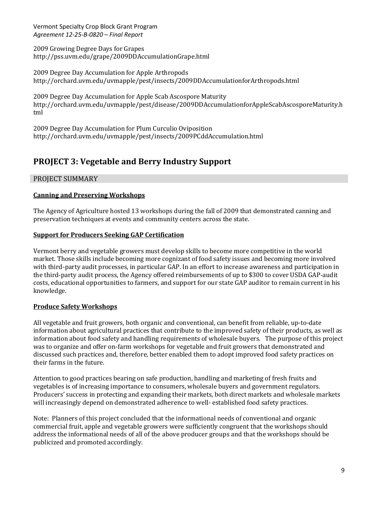2009 Growing Degree Days for Grapes http://pss.uvm.edu/grape/2009DDAccumulationGrape.html

2009 Degree Day Accumulation for Apple Arthropods http://orchard.uvm.edu/uvmapple/pest/insects/2009DDAccumulationforArthropods.html

2009 Degree Day Accumulation for Apple Scab Ascospore Maturity http://orchard.uvm.edu/uvmapple/pest/disease/2009DDAccumulationforAppleScabAscosporeMaturity.h tml

2009 Degree Day Accumulation for Plum Curculio Oviposition http://orchard.uvm.edu/uvmapple/pest/insects/2009PCddAccumulation.html

## **PROJECT 3: Vegetable and Berry Industry Support**

## PROJECT SUMMARY

## **Canning and Preserving Workshops**

The Agency of Agriculture hosted 13 workshops during the fall of 2009 that demonstrated canning and preservation techniques at events and community centers across the state.

## **Support for Producers Seeking GAP Certification**

Vermont berry and vegetable growers must develop skills to become more competitive in the world market. Those skills include becoming more cognizant of food safety issues and becoming more involved with third-party audit processes, in particular GAP. In an effort to increase awareness and participation in the third-party audit process, the Agency offered reimbursements of up to \$300 to cover USDA GAP-audit costs, educational opportunities to farmers, and support for our state GAP auditor to remain current in his knowledge.

## **Produce Safety Workshops**

All vegetable and fruit growers, both organic and conventional, can benefit from reliable, up-to-date information about agricultural practices that contribute to the improved safety of their products, as well as information about food safety and handling requirements of wholesale buyers. The purpose of this project was to organize and offer on-farm workshops for vegetable and fruit growers that demonstrated and discussed such practices and, therefore, better enabled them to adopt improved food safety practices on their farms in the future.

Attention to good practices bearing on safe production, handling and marketing of fresh fruits and vegetables is of increasing importance to consumers, wholesale buyers and government regulators. Producers' success in protecting and expanding their markets, both direct markets and wholesale markets will increasingly depend on demonstrated adherence to well- established food safety practices.

Note: Planners of this project concluded that the informational needs of conventional and organic commercial fruit, apple and vegetable growers were sufficiently congruent that the workshops should address the informational needs of all of the above producer groups and that the workshops should be publicized and promoted accordingly.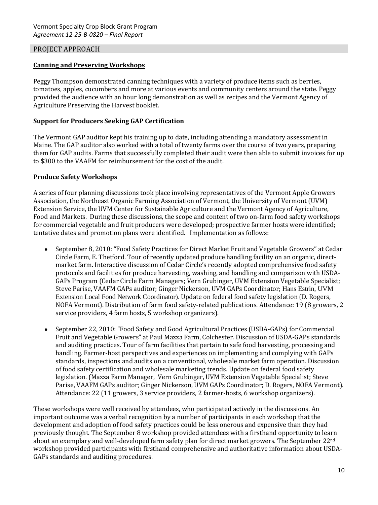## PROJECT APPROACH

#### **Canning and Preserving Workshops**

Peggy Thompson demonstrated canning techniques with a variety of produce items such as berries, tomatoes, apples, cucumbers and more at various events and community centers around the state. Peggy provided the audience with an hour long demonstration as well as recipes and the Vermont Agency of Agriculture Preserving the Harvest booklet.

#### **Support for Producers Seeking GAP Certification**

The Vermont GAP auditor kept his training up to date, including attending a mandatory assessment in Maine. The GAP auditor also worked with a total of twenty farms over the course of two years, preparing them for GAP audits. Farms that successfully completed their audit were then able to submit invoices for up to \$300 to the VAAFM for reimbursement for the cost of the audit.

#### **Produce Safety Workshops**

A series of four planning discussions took place involving representatives of the Vermont Apple Growers Association, the Northeast Organic Farming Association of Vermont, the University of Vermont (UVM) Extension Service, the UVM Center for Sustainable Agriculture and the Vermont Agency of Agriculture, Food and Markets. During these discussions, the scope and content of two on-farm food safety workshops for commercial vegetable and fruit producers were developed; prospective farmer hosts were identified; tentative dates and promotion plans were identified. Implementation as follows:

- September 8, 2010: "Food Safety Practices for Direct Market Fruit and Vegetable Growers" at Cedar Circle Farm, E. Thetford. Tour of recently updated produce handling facility on an organic, directmarket farm. Interactive discussion of Cedar Circle's recently adopted comprehensive food safety protocols and facilities for produce harvesting, washing, and handling and comparison with USDA-GAPs Program (Cedar Circle Farm Managers; Vern Grubinger, UVM Extension Vegetable Specialist; Steve Parise, VAAFM GAPs auditor; Ginger Nickerson, UVM GAPs Coordinator; Hans Estrin, UVM Extension Local Food Network Coordinator). Update on federal food safety legislation (D. Rogers, NOFA Vermont). Distribution of farm food safety-related publications. Attendance: 19 (8 growers, 2 service providers, 4 farm hosts, 5 workshop organizers).
- September 22, 2010: "Food Safety and Good Agricultural Practices (USDA-GAPs) for Commercial Fruit and Vegetable Growers" at Paul Mazza Farm, Colchester. Discussion of USDA-GAPs standards and auditing practices. Tour of farm facilities that pertain to safe food harvesting, processing and handling. Farmer-host perspectives and experiences on implementing and complying with GAPs standards, inspections and audits on a conventional, wholesale market farm operation. Discussion of food safety certification and wholesale marketing trends. Update on federal food safety legislation. (Mazza Farm Manager, Vern Grubinger, UVM Extension Vegetable Specialist; Steve Parise, VAAFM GAPs auditor; Ginger Nickerson, UVM GAPs Coordinator; D. Rogers, NOFA Vermont). Attendance: 22 (11 growers, 3 service providers, 2 farmer-hosts, 6 workshop organizers).

These workshops were well received by attendees, who participated actively in the discussions. An important outcome was a verbal recognition by a number of participants in each workshop that the development and adoption of food safety practices could be less onerous and expensive than they had previously thought. The September 8 workshop provided attendees with a firsthand opportunity to learn about an exemplary and well-developed farm safety plan for direct market growers. The September 22nd workshop provided participants with firsthand comprehensive and authoritative information about USDA-GAPs standards and auditing procedures.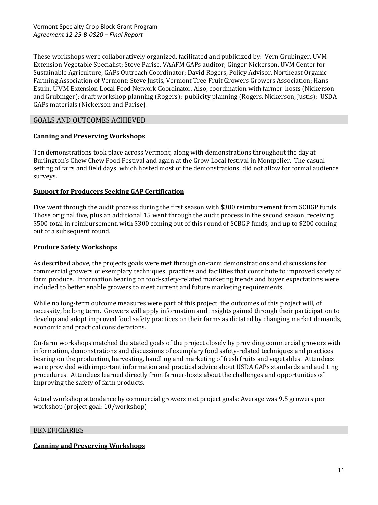These workshops were collaboratively organized, facilitated and publicized by: Vern Grubinger, UVM Extension Vegetable Specialist; Steve Parise, VAAFM GAPs auditor; Ginger Nickerson, UVM Center for Sustainable Agriculture, GAPs Outreach Coordinator; David Rogers, Policy Advisor, Northeast Organic Farming Association of Vermont; Steve Justis, Vermont Tree Fruit Growers Growers Association; Hans Estrin, UVM Extension Local Food Network Coordinator. Also, coordination with farmer-hosts (Nickerson and Grubinger); draft workshop planning (Rogers); publicity planning (Rogers, Nickerson, Justis); USDA GAPs materials (Nickerson and Parise).

## GOALS AND OUTCOMES ACHIEVED

## **Canning and Preserving Workshops**

Ten demonstrations took place across Vermont, along with demonstrations throughout the day at Burlington's Chew Chew Food Festival and again at the Grow Local festival in Montpelier. The casual setting of fairs and field days, which hosted most of the demonstrations, did not allow for formal audience surveys.

## **Support for Producers Seeking GAP Certification**

Five went through the audit process during the first season with \$300 reimbursement from SCBGP funds. Those original five, plus an additional 15 went through the audit process in the second season, receiving \$500 total in reimbursement, with \$300 coming out of this round of SCBGP funds, and up to \$200 coming out of a subsequent round.

## **Produce Safety Workshops**

As described above, the projects goals were met through on-farm demonstrations and discussions for commercial growers of exemplary techniques, practices and facilities that contribute to improved safety of farm produce. Information bearing on food-safety-related marketing trends and buyer expectations were included to better enable growers to meet current and future marketing requirements.

While no long-term outcome measures were part of this project, the outcomes of this project will, of necessity, be long term. Growers will apply information and insights gained through their participation to develop and adopt improved food safety practices on their farms as dictated by changing market demands, economic and practical considerations.

On-farm workshops matched the stated goals of the project closely by providing commercial growers with information, demonstrations and discussions of exemplary food safety-related techniques and practices bearing on the production, harvesting, handling and marketing of fresh fruits and vegetables. Attendees were provided with important information and practical advice about USDA GAPs standards and auditing procedures. Attendees learned directly from farmer-hosts about the challenges and opportunities of improving the safety of farm products.

Actual workshop attendance by commercial growers met project goals: Average was 9.5 growers per workshop (project goal: 10/workshop)

## **BENEFICIARIES**

## **Canning and Preserving Workshops**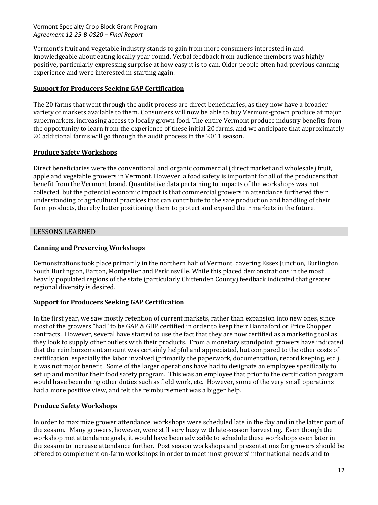Vermont's fruit and vegetable industry stands to gain from more consumers interested in and knowledgeable about eating locally year-round. Verbal feedback from audience members was highly positive, particularly expressing surprise at how easy it is to can. Older people often had previous canning experience and were interested in starting again.

### **Support for Producers Seeking GAP Certification**

The 20 farms that went through the audit process are direct beneficiaries, as they now have a broader variety of markets available to them. Consumers will now be able to buy Vermont-grown produce at major supermarkets, increasing access to locally grown food. The entire Vermont produce industry benefits from the opportunity to learn from the experience of these initial 20 farms, and we anticipate that approximately 20 additional farms will go through the audit process in the 2011 season.

#### **Produce Safety Workshops**

Direct beneficiaries were the conventional and organic commercial (direct market and wholesale) fruit, apple and vegetable growers in Vermont. However, a food safety is important for all of the producers that benefit from the Vermont brand. Quantitative data pertaining to impacts of the workshops was not collected, but the potential economic impact is that commercial growers in attendance furthered their understanding of agricultural practices that can contribute to the safe production and handling of their farm products, thereby better positioning them to protect and expand their markets in the future.

#### LESSONS LEARNED

#### **Canning and Preserving Workshops**

Demonstrations took place primarily in the northern half of Vermont, covering Essex Junction, Burlington, South Burlington, Barton, Montpelier and Perkinsville. While this placed demonstrations in the most heavily populated regions of the state (particularly Chittenden County) feedback indicated that greater regional diversity is desired.

## **Support for Producers Seeking GAP Certification**

In the first year, we saw mostly retention of current markets, rather than expansion into new ones, since most of the growers "had" to be GAP & GHP certified in order to keep their Hannaford or Price Chopper contracts. However, several have started to use the fact that they are now certified as a marketing tool as they look to supply other outlets with their products. From a monetary standpoint, growers have indicated that the reimbursement amount was certainly helpful and appreciated, but compared to the other costs of certification, especially the labor involved (primarily the paperwork, documentation, record keeping, etc.), it was not major benefit. Some of the larger operations have had to designate an employee specifically to set up and monitor their food safety program. This was an employee that prior to the certification program would have been doing other duties such as field work, etc. However, some of the very small operations had a more positive view, and felt the reimbursement was a bigger help.

#### **Produce Safety Workshops**

In order to maximize grower attendance, workshops were scheduled late in the day and in the latter part of the season. Many growers, however, were still very busy with late-season harvesting. Even though the workshop met attendance goals, it would have been advisable to schedule these workshops even later in the season to increase attendance further. Post season workshops and presentations for growers should be offered to complement on-farm workshops in order to meet most growers' informational needs and to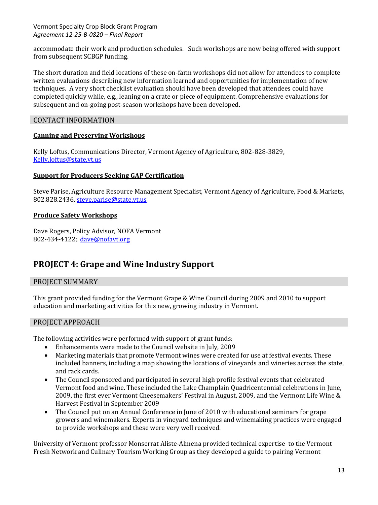accommodate their work and production schedules. Such workshops are now being offered with support from subsequent SCBGP funding.

The short duration and field locations of these on-farm workshops did not allow for attendees to complete written evaluations describing new information learned and opportunities for implementation of new techniques. A very short checklist evaluation should have been developed that attendees could have completed quickly while, e.g., leaning on a crate or piece of equipment. Comprehensive evaluations for subsequent and on-going post-season workshops have been developed.

## CONTACT INFORMATION

#### **Canning and Preserving Workshops**

Kelly Loftus, Communications Director, Vermont Agency of Agriculture, 802-828-3829, [Kelly.loftus@state.vt.us](mailto:Kelly.loftus@state.vt.us)

#### **Support for Producers Seeking GAP Certification**

Steve Parise, Agriculture Resource Management Specialist, Vermont Agency of Agriculture, Food & Markets, 802.828.2436, [steve.parise@state.vt.us](mailto:steve.parise@state.vt.us)

#### **Produce Safety Workshops**

Dave Rogers, Policy Advisor, NOFA Vermont 802-434-4122; [dave@nofavt.org](mailto:dave@nofavt.org)

## **PROJECT 4: Grape and Wine Industry Support**

## PROJECT SUMMARY

This grant provided funding for the Vermont Grape & Wine Council during 2009 and 2010 to support education and marketing activities for this new, growing industry in Vermont.

## PROJECT APPROACH

The following activities were performed with support of grant funds:

- Enhancements were made to the Council website in July, 2009  $\bullet$
- Marketing materials that promote Vermont wines were created for use at festival events. These included banners, including a map showing the locations of vineyards and wineries across the state, and rack cards.
- The Council sponsored and participated in several high profile festival events that celebrated Vermont food and wine. These included the Lake Champlain Quadricentennial celebrations in June, 2009, the first ever Vermont Cheesemakers' Festival in August, 2009, and the Vermont Life Wine & Harvest Festival in September 2009
- The Council put on an Annual Conference in June of 2010 with educational seminars for grape growers and winemakers. Experts in vineyard techniques and winemaking practices were engaged to provide workshops and these were very well received.

University of Vermont professor Monserrat Aliste-Almena provided technical expertise to the Vermont Fresh Network and Culinary Tourism Working Group as they developed a guide to pairing Vermont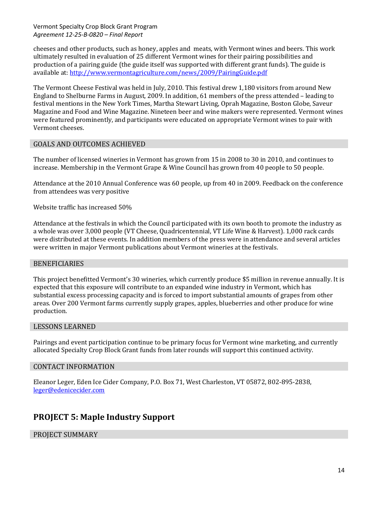cheeses and other products, such as honey, apples and meats, with Vermont wines and beers. This work ultimately resulted in evaluation of 25 different Vermont wines for their pairing possibilities and production of a pairing guide (the guide itself was supported with different grant funds). The guide is available at: <http://www.vermontagriculture.com/news/2009/PairingGuide.pdf>

The Vermont Cheese Festival was held in July, 2010. This festival drew 1,180 visitors from around New England to Shelburne Farms in August, 2009. In addition, 61 members of the press attended – leading to festival mentions in the New York Times, Martha Stewart Living, Oprah Magazine, Boston Globe, Saveur Magazine and Food and Wine Magazine. Nineteen beer and wine makers were represented. Vermont wines were featured prominently, and participants were educated on appropriate Vermont wines to pair with Vermont cheeses.

## GOALS AND OUTCOMES ACHIEVED

The number of licensed wineries in Vermont has grown from 15 in 2008 to 30 in 2010, and continues to increase. Membership in the Vermont Grape & Wine Council has grown from 40 people to 50 people.

Attendance at the 2010 Annual Conference was 60 people, up from 40 in 2009. Feedback on the conference from attendees was very positive

Website traffic has increased 50%

Attendance at the festivals in which the Council participated with its own booth to promote the industry as a whole was over 3,000 people (VT Cheese, Quadricentennial, VT Life Wine & Harvest). 1,000 rack cards were distributed at these events. In addition members of the press were in attendance and several articles were written in major Vermont publications about Vermont wineries at the festivals.

#### **BENEFICIARIES**

This project benefitted Vermont's 30 wineries, which currently produce \$5 million in revenue annually. It is expected that this exposure will contribute to an expanded wine industry in Vermont, which has substantial excess processing capacity and is forced to import substantial amounts of grapes from other areas. Over 200 Vermont farms currently supply grapes, apples, blueberries and other produce for wine production.

#### LESSONS LEARNED

Pairings and event participation continue to be primary focus for Vermont wine marketing, and currently allocated Specialty Crop Block Grant funds from later rounds will support this continued activity.

#### CONTACT INFORMATION

Eleanor Leger, Eden Ice Cider Company, P.O. Box 71, West Charleston, VT 05872, 802-895-2838, [leger@edenicecider.com](mailto:leger@edenicecider.com)

## **PROJECT 5: Maple Industry Support**

#### PROJECT SUMMARY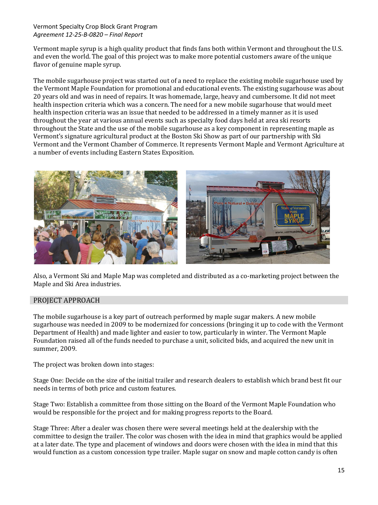Vermont maple syrup is a high quality product that finds fans both within Vermont and throughout the U.S. and even the world. The goal of this project was to make more potential customers aware of the unique flavor of genuine maple syrup.

The mobile sugarhouse project was started out of a need to replace the existing mobile sugarhouse used by the Vermont Maple Foundation for promotional and educational events. The existing sugarhouse was about 20 years old and was in need of repairs. It was homemade, large, heavy and cumbersome. It did not meet health inspection criteria which was a concern. The need for a new mobile sugarhouse that would meet health inspection criteria was an issue that needed to be addressed in a timely manner as it is used throughout the year at various annual events such as specialty food days held at area ski resorts throughout the State and the use of the mobile sugarhouse as a key component in representing maple as Vermont's signature agricultural product at the Boston Ski Show as part of our partnership with Ski Vermont and the Vermont Chamber of Commerce. It represents Vermont Maple and Vermont Agriculture at a number of events including Eastern States Exposition.



Also, a Vermont Ski and Maple Map was completed and distributed as a co-marketing project between the Maple and Ski Area industries.

## PROJECT APPROACH

The mobile sugarhouse is a key part of outreach performed by maple sugar makers. A new mobile sugarhouse was needed in 2009 to be modernized for concessions (bringing it up to code with the Vermont Department of Health) and made lighter and easier to tow, particularly in winter. The Vermont Maple Foundation raised all of the funds needed to purchase a unit, solicited bids, and acquired the new unit in summer, 2009.

The project was broken down into stages:

Stage One: Decide on the size of the initial trailer and research dealers to establish which brand best fit our needs in terms of both price and custom features.

Stage Two: Establish a committee from those sitting on the Board of the Vermont Maple Foundation who would be responsible for the project and for making progress reports to the Board.

Stage Three: After a dealer was chosen there were several meetings held at the dealership with the committee to design the trailer. The color was chosen with the idea in mind that graphics would be applied at a later date. The type and placement of windows and doors were chosen with the idea in mind that this would function as a custom concession type trailer. Maple sugar on snow and maple cotton candy is often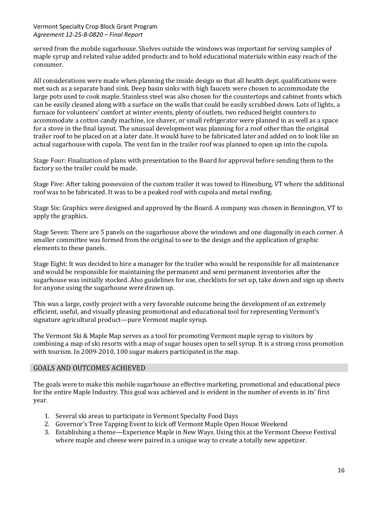served from the mobile sugarhouse. Shelves outside the windows was important for serving samples of maple syrup and related value added products and to hold educational materials within easy reach of the consumer.

All considerations were made when planning the inside design so that all health dept. qualifications were met such as a separate hand sink. Deep basin sinks with high faucets were chosen to accommodate the large pots used to cook maple. Stainless steel was also chosen for the countertops and cabinet fronts which can be easily cleaned along with a surface on the walls that could be easily scrubbed down. Lots of lights, a furnace for volunteers' comfort at winter events, plenty of outlets, two reduced height counters to accommodate a cotton candy machine, ice shaver, or small refrigerator were planned in as well as a space for a stove in the final layout. The unusual development was planning for a roof other than the original trailer roof to be placed on at a later date. It would have to be fabricated later and added on to look like an actual sugarhouse with cupola. The vent fan in the trailer roof was planned to open up into the cupola.

Stage Four: Finalization of plans with presentation to the Board for approval before sending them to the factory so the trailer could be made.

Stage Five: After taking possession of the custom trailer it was towed to Hinesburg, VT where the additional roof was to be fabricated. It was to be a peaked roof with cupola and metal roofing.

Stage Six: Graphics were designed and approved by the Board. A company was chosen in Bennington, VT to apply the graphics.

Stage Seven: There are 5 panels on the sugarhouse above the windows and one diagonally in each corner. A smaller committee was formed from the original to see to the design and the application of graphic elements to these panels.

Stage Eight: It was decided to hire a manager for the trailer who would be responsible for all maintenance and would be responsible for maintaining the permanent and semi permanent inventories after the sugarhouse was initially stocked. Also guidelines for use, checklists for set up, take down and sign up sheets for anyone using the sugarhouse were drawn up.

This was a large, costly project with a very favorable outcome being the development of an extremely efficient, useful, and visually pleasing promotional and educational tool for representing Vermont's signature agricultural product—pure Vermont maple syrup.

The Vermont Ski & Maple Map serves as a tool for promoting Vermont maple syrup to visitors by combining a map of ski resorts with a map of sugar houses open to sell syrup. It is a strong cross promotion with tourism. In 2009-2010, 100 sugar makers participated in the map.

#### GOALS AND OUTCOMES ACHIEVED

The goals were to make this mobile sugarhouse an effective marketing, promotional and educational piece for the entire Maple Industry. This goal was achieved and is evident in the number of events in its' first year.

- 1. Several ski areas to participate in Vermont Specialty Food Days
- 2. Governor's Tree Tapping Event to kick off Vermont Maple Open House Weekend
- 3. Establishing a theme—Experience Maple in New Ways. Using this at the Vermont Cheese Festival where maple and cheese were paired in a unique way to create a totally new appetizer.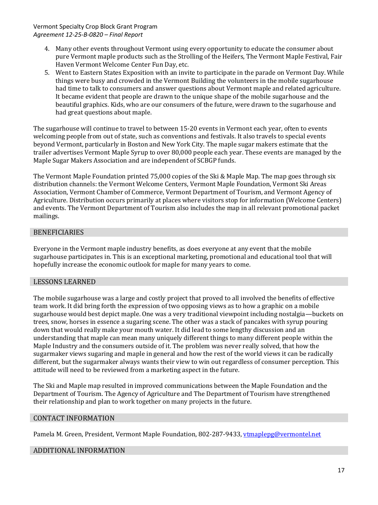- 4. Many other events throughout Vermont using every opportunity to educate the consumer about pure Vermont maple products such as the Strolling of the Heifers, The Vermont Maple Festival, Fair Haven Vermont Welcome Center Fun Day, etc.
- 5. Went to Eastern States Exposition with an invite to participate in the parade on Vermont Day. While things were busy and crowded in the Vermont Building the volunteers in the mobile sugarhouse had time to talk to consumers and answer questions about Vermont maple and related agriculture. It became evident that people are drawn to the unique shape of the mobile sugarhouse and the beautiful graphics. Kids, who are our consumers of the future, were drawn to the sugarhouse and had great questions about maple.

The sugarhouse will continue to travel to between 15-20 events in Vermont each year, often to events welcoming people from out of state, such as conventions and festivals. It also travels to special events beyond Vermont, particularly in Boston and New York City. The maple sugar makers estimate that the trailer advertises Vermont Maple Syrup to over 80,000 people each year. These events are managed by the Maple Sugar Makers Association and are independent of SCBGP funds.

The Vermont Maple Foundation printed 75,000 copies of the Ski & Maple Map. The map goes through six distribution channels: the Vermont Welcome Centers, Vermont Maple Foundation, Vermont Ski Areas Association, Vermont Chamber of Commerce, Vermont Department of Tourism, and Vermont Agency of Agriculture. Distribution occurs primarily at places where visitors stop for information (Welcome Centers) and events. The Vermont Department of Tourism also includes the map in all relevant promotional packet mailings.

## **BENEFICIARIES**

Everyone in the Vermont maple industry benefits, as does everyone at any event that the mobile sugarhouse participates in. This is an exceptional marketing, promotional and educational tool that will hopefully increase the economic outlook for maple for many years to come.

## LESSONS LEARNED

The mobile sugarhouse was a large and costly project that proved to all involved the benefits of effective team work. It did bring forth the expression of two opposing views as to how a graphic on a mobile sugarhouse would best depict maple. One was a very traditional viewpoint including nostalgia—buckets on trees, snow, horses in essence a sugaring scene. The other was a stack of pancakes with syrup pouring down that would really make your mouth water. It did lead to some lengthy discussion and an understanding that maple can mean many uniquely different things to many different people within the Maple Industry and the consumers outside of it. The problem was never really solved, that how the sugarmaker views sugaring and maple in general and how the rest of the world views it can be radically different, but the sugarmaker always wants their view to win out regardless of consumer perception. This attitude will need to be reviewed from a marketing aspect in the future.

The Ski and Maple map resulted in improved communications between the Maple Foundation and the Department of Tourism. The Agency of Agriculture and The Department of Tourism have strengthened their relationship and plan to work together on many projects in the future.

## CONTACT INFORMATION

Pamela M. Green, President, Vermont Maple Foundation, 802-287-9433, [vtmaplepg@vermontel.net](mailto:vtmaplepg@vermontel.net)

## ADDITIONAL INFORMATION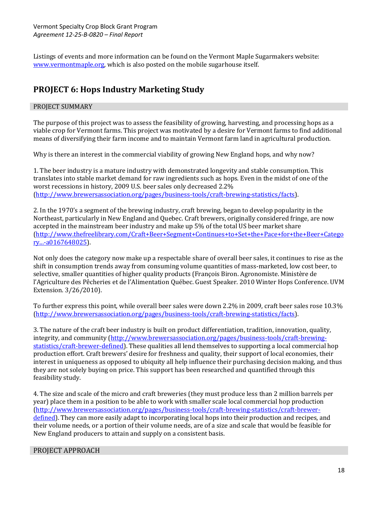Listings of events and more information can be found on the Vermont Maple Sugarmakers website: [www.vermontmaple.org,](http://www.vermontmaple.org/) which is also posted on the mobile sugarhouse itself.

## **PROJECT 6: Hops Industry Marketing Study**

## PROJECT SUMMARY

The purpose of this project was to assess the feasibility of growing, harvesting, and processing hops as a viable crop for Vermont farms. This project was motivated by a desire for Vermont farms to find additional means of diversifying their farm income and to maintain Vermont farm land in agricultural production.

Why is there an interest in the commercial viability of growing New England hops, and why now?

1. The beer industry is a mature industry with demonstrated longevity and stable consumption. This translates into stable market demand for raw ingredients such as hops. Even in the midst of one of the worst recessions in history, 2009 U.S. beer sales only decreased 2.2% [\(http://www.brewersassociation.org/pages/business-tools/craft-brewing-statistics/facts\)](http://www.brewersassociation.org/pages/business-tools/craft-brewing-statistics/facts).

2. In the 1970's a segment of the brewing industry, craft brewing, began to develop popularity in the Northeast, particularly in New England and Quebec. Craft brewers, originally considered fringe, are now accepted in the mainstream beer industry and make up 5% of the total US beer market share [\(http://www.thefreelibrary.com/Craft+Beer+Segment+Continues+to+Set+the+Pace+for+the+Beer+Catego](http://www.thefreelibrary.com/Craft+Beer+Segment+Continues+to+Set+the+Pace+for+the+Beer+Category...-a0167648025) [ry...-a0167648025\)](http://www.thefreelibrary.com/Craft+Beer+Segment+Continues+to+Set+the+Pace+for+the+Beer+Category...-a0167648025).

Not only does the category now make up a respectable share of overall beer sales, it continues to rise as the shift in consumption trends away from consuming volume quantities of mass-marketed, low cost beer, to selective, smaller quantities of higher quality products (François Biron. Agronomiste. Ministère de l'Agriculture des Pêcheries et de l'Alimentation Québec. Guest Speaker. 2010 Winter Hops Conference. UVM Extension. 3/26/2010).

To further express this point, while overall beer sales were down 2.2% in 2009, craft beer sales rose 10.3% [\(http://www.brewersassociation.org/pages/business-tools/craft-brewing-statistics/facts\)](http://www.brewersassociation.org/pages/business-tools/craft-brewing-statistics/facts).

3. The nature of the craft beer industry is built on product differentiation, tradition, innovation, quality, integrity, and community [\(http://www.brewersassociation.org/pages/business-tools/craft-brewing](http://www.brewersassociation.org/pages/business-tools/craft-brewing-statistics/craft-brewer-defined)[statistics/craft-brewer-defined\)](http://www.brewersassociation.org/pages/business-tools/craft-brewing-statistics/craft-brewer-defined). These qualities all lend themselves to supporting a local commercial hop production effort. Craft brewers' desire for freshness and quality, their support of local economies, their interest in uniqueness as opposed to ubiquity all help influence their purchasing decision making, and thus they are not solely buying on price. This support has been researched and quantified through this feasibility study.

4. The size and scale of the micro and craft breweries (they must produce less than 2 million barrels per year) place them in a position to be able to work with smaller scale local commercial hop production [\(http://www.brewersassociation.org/pages/business-tools/craft-brewing-statistics/craft-brewer](http://www.brewersassociation.org/pages/business-tools/craft-brewing-statistics/craft-brewer-defined)[defined\)](http://www.brewersassociation.org/pages/business-tools/craft-brewing-statistics/craft-brewer-defined). They can more easily adapt to incorporating local hops into their production and recipes, and their volume needs, or a portion of their volume needs, are of a size and scale that would be feasible for New England producers to attain and supply on a consistent basis.

## PROJECT APPROACH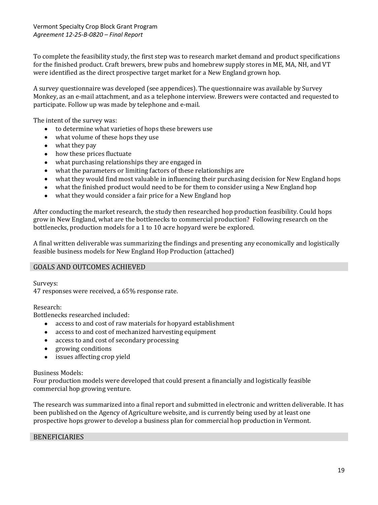To complete the feasibility study, the first step was to research market demand and product specifications for the finished product. Craft brewers, brew pubs and homebrew supply stores in ME, MA, NH, and VT were identified as the direct prospective target market for a New England grown hop.

A survey questionnaire was developed (see appendices). The questionnaire was available by Survey Monkey, as an e-mail attachment, and as a telephone interview. Brewers were contacted and requested to participate. Follow up was made by telephone and e-mail.

The intent of the survey was:

- to determine what varieties of hops these brewers use
- what volume of these hops they use
- what they pay
- how these prices fluctuate
- what purchasing relationships they are engaged in  $\bullet$
- what the parameters or limiting factors of these relationships are
- what they would find most valuable in influencing their purchasing decision for New England hops  $\bullet$
- what the finished product would need to be for them to consider using a New England hop
- $\bullet$ what they would consider a fair price for a New England hop

After conducting the market research, the study then researched hop production feasibility. Could hops grow in New England, what are the bottlenecks to commercial production? Following research on the bottlenecks, production models for a 1 to 10 acre hopyard were be explored.

A final written deliverable was summarizing the findings and presenting any economically and logistically feasible business models for New England Hop Production (attached)

## GOALS AND OUTCOMES ACHIEVED

Surveys:

47 responses were received, a 65% response rate.

Research:

Bottlenecks researched included:

- access to and cost of raw materials for hopyard establishment  $\bullet$
- access to and cost of mechanized harvesting equipment  $\bullet$
- access to and cost of secondary processing
- growing conditions  $\bullet$
- issues affecting crop yield  $\bullet$

#### Business Models:

Four production models were developed that could present a financially and logistically feasible commercial hop growing venture.

The research was summarized into a final report and submitted in electronic and written deliverable. It has been published on the Agency of Agriculture website, and is currently being used by at least one prospective hops grower to develop a business plan for commercial hop production in Vermont.

#### BENEFICIARIES